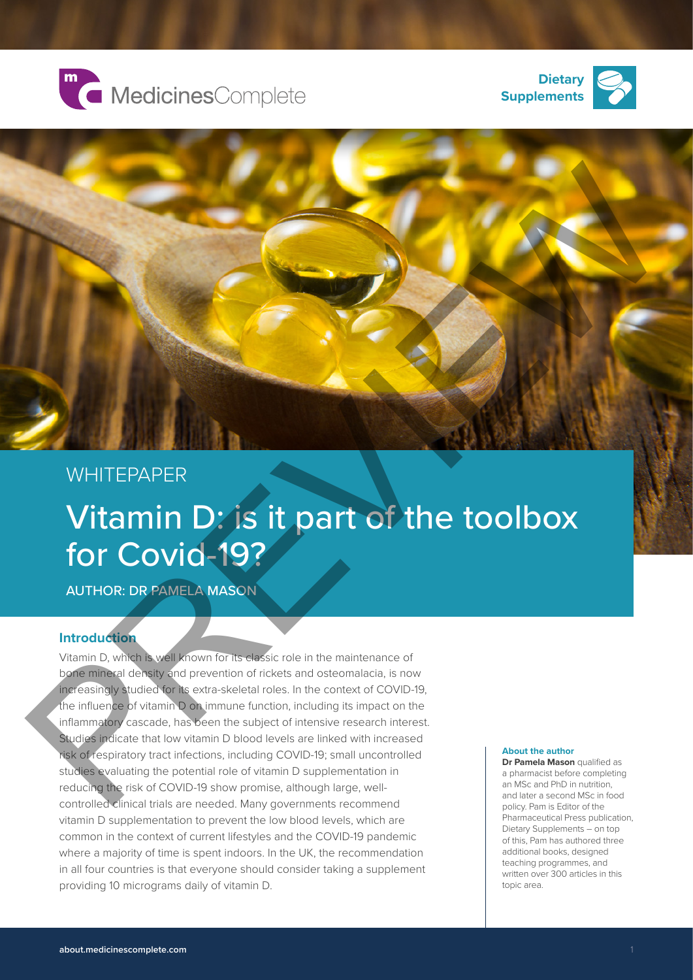





## **WHITEPAPER**

# Vitamin D: is it part of the toolbox for Covid-19?

AUTHOR: DR PAMELA MASON

### **Introduction**

Vitamin D, which is well known for its classic role in the maintenance of bone mineral density and prevention of rickets and osteomalacia, is now increasingly studied for its extra-skeletal roles. In the context of COVID-19, the influence of vitamin D on immune function, including its impact on the inflammatory cascade, has been the subject of intensive research interest. Studies indicate that low vitamin D blood levels are linked with increased risk of respiratory tract infections, including COVID-19; small uncontrolled studies evaluating the potential role of vitamin D supplementation in reducing the risk of COVID-19 show promise, although large, wellcontrolled clinical trials are needed. Many governments recommend vitamin D supplementation to prevent the low blood levels, which are common in the context of current lifestyles and the COVID-19 pandemic where a majority of time is spent indoors. In the UK, the recommendation in all four countries is that everyone should consider taking a supplement providing 10 micrograms daily of vitamin D.

#### **About the author**

**Dr Pamela Mason** qualified as a pharmacist before completing an MSc and PhD in nutrition, and later a second MSc in food policy. Pam is Editor of the Pharmaceutical Press publication, Dietary Supplements – on top of this, Pam has authored three additional books, designed teaching programmes, and written over 300 articles in this topic area.